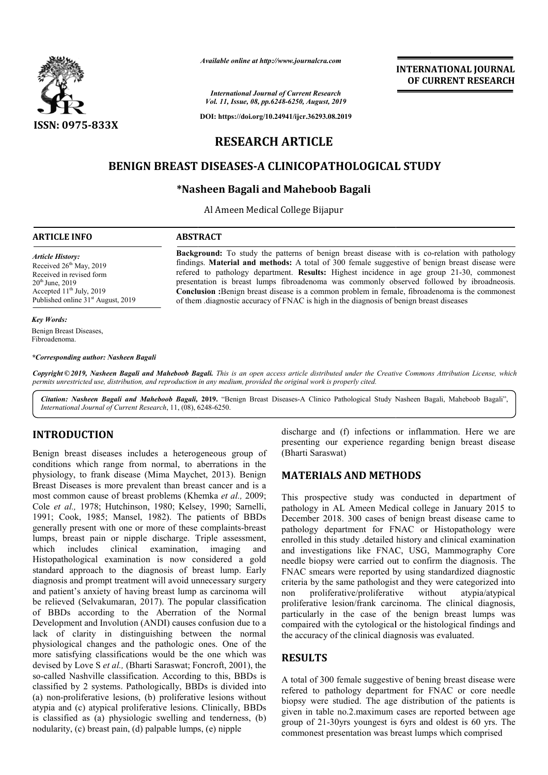

*Available online at http://www.journalcra.com*

*International Journal of Current Research Vol. 11, Issue, 08, pp.6248-6250, August, 2019*

**DOI: https://doi.org/10.24941/ijcr.36293.08.2019**

# **INTERNATIONAL JOURNAL OF CURRENT RESEARCH**

# **RESEARCH ARTICLE**

# **BENIGN BREAST DISEASES DISEASES-A CLINICOPATHOLOGICAL STUDY A**

# **\*Nasheen Bagali and Nasheen Maheboob Bagali**

Al Ameen Medical College Bijapur

#### **ARTICLE INFO ABSTRACT**

*Article History:* Received 26<sup>th</sup> May, 2019 Received in revised form  $20<sup>th</sup>$  June,  $2019$ Accepted  $11<sup>th</sup>$  July, 2019 Published online  $31<sup>st</sup>$  August, 2019

#### *Key Words:*

Benign Breast Diseases, Fibroadenoma.

*\*Corresponding author: Nasheen Bagali*

Copyright © 2019, Nasheen Bagali and Maheboob Bagali. This is an open access article distributed under the Creative Commons Attribution License, which permits unrestricted use, distribution, and reproduction in any medium, provided the original work is properly cited.

Citation: Nasheen Bagali and Maheboob Bagali, 2019. "Benign Breast Diseases-A Clinico Pathological Study Nasheen Bagali, Maheboob Bagali", *International Journal of Current Research*, 11, (08), 6248 6248-6250.

## **INTRODUCTION**

Benign breast diseases includes a heterogeneous group of conditions which range from normal, to aberrations in t the physiology, to frank disease (Mima Maychet, 2013). Benign Breast Diseases is more prevalent than breast cancer and is a most common cause of breast problems (Khemka et al., 2009; Cole *et al.,* 1978; Hutchinson, 1980; Kelsey, 1990; Sarnelli, 1991; Cook, 1985; Mansel, 1982). The patients of BBDs generally present with one or more of these complaints-breast lumps, breast pain or nipple discharge. Triple assessment, which includes clinical examination, imaging and Histopathological examination is now considered a gold standard approach to the diagnosis of breast lump. Early diagnosis and prompt treatment will avoid unnecessary surgery and patient's anxiety of having breast lump as carcinoma will be relieved (Selvakumaran, 2017). The popular classification of BBDs according to the Aberration of the Normal Development and Involution (ANDI) causes confusion due to a lack of clarity in distinguishing between the normal physiological changes and the pathologic ones. One of the more satisfying classifications would be the one which was devised by Love S *et al.*, (Bharti Saraswat; Foncroft, 2001), the so-called Nashville classification. According to this, BBDs is classified by 2 systems. Pathologically, BBDs is divided into (a) non-proliferative lesions, (b) proliferative lesions without atypia and (c) atypical proliferative lesions. Clinically, BBDs is classified as (a) physiologic swelling and tenderness, (b) nodularity, (c) breast pain, (d) palpable lumps, (e) nipple it lump as carcinoma will<br>The popular classification<br>rration of the Normal<br>causes confusion due to a<br>g between the normal<br>ologic ones. One of the<br>d be the one which was<br>swat; Foncroft, 2001), the called Nashville c<br>ssified by 2 system<br>non-proliferative

discharge and (f) infections or inflammation. Here we are discharge and (f) infections or inflammation. Here we are presenting our experience regarding benign breast disease (Bharti Saraswat)

## **MATERIALS AND METHODS METHODS**

Background: To study the patterns of benign breast disease with is co-relation with pathology findings. **Material and methods:** A total of 300 female suggestive of benign breast disease were findings. **Material and methods:** A total of 300 female suggestive of benign breast disease were refered to pathology department. **Results:** Highest incidence in age group 21-30, commonest presentation is breast lumps fibroadenoma was commonly observed followed by ibroadneosis. **Conclusion :** Benign breast disease is a common problem in female, fibroadenoma is the commonest

**Conclusion :**Benign breast disease is a common problem in female, fibroadenoma is t of them .diagnostic accuracy of FNAC is high in the diagnosis of benign breast diseases

This prospective study was conducted in department of This prospective study was conducted in department of pathology in AL Ameen Medical college in January 2015 to December 2018. 300 cases of benign breast disease came to pathology department for FNAC or Histopathology were enrolled in this study .detailed history and clinical examination December 2018. 300 cases of benign breast disease came to pathology department for FNAC or Histopathology were enrolled in this study detailed history and clinical examination and investigations like FNAC, USG, Mammography needle biopsy were carried out to confirm the diagnosis. The FNAC smears were reported by using standardized diagnostic criteria by the same pathologist and they were categorized into non proliferative/proliferative without atypia/atypical non proliferative/proliferative without atypia/atypical proliferative lesion/frank carcinoma. The clinical diagnosis, particularly in the case of the benign breast lumps was compaired with the cytological or the histological findings and the accuracy of the clinical diagnosis was evaluated. particularly in the case of the benign breast lumps was<br>compaired with the cytological or the histological findings and<br>the accuracy of the clinical diagnosis was evaluated.<br>**RESULTS**<br>A total of 300 female suggestive of be entation breast lumps which

## **RESULTS**

refered to pathology department for FNAC or core needle biopsy were studied. The age distribution of the patients is given in table no.2.maximum cases are reported between age group of 21-30yrs youngest is 6yrs and oldest is 60 commonest presentation was breast lumps which comprised o pathology department for FNAC or core needle vere studied. The age distribution of the patients is table no.2 maximum cases are reported between age 21-30yrs youngest is 6yrs and oldest is 60 yrs. The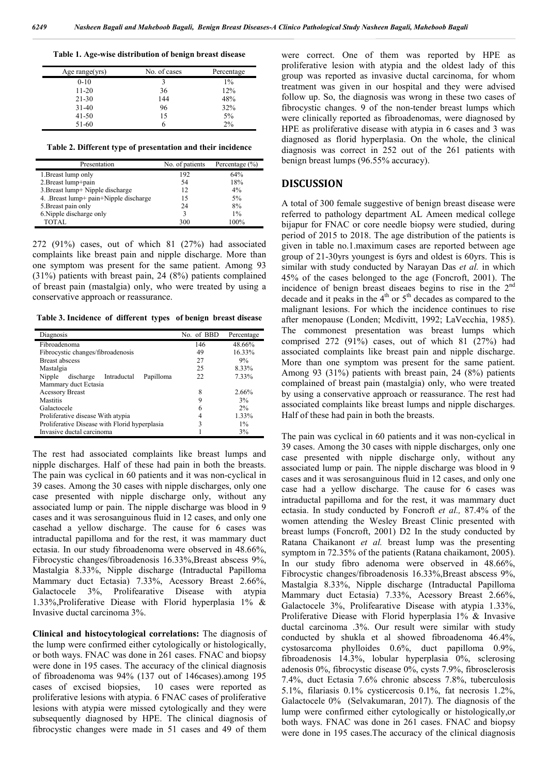**Table 1. Age-wise distribution of benign breast disease**

| Age range(yrs) | No. of cases | Percentage |
|----------------|--------------|------------|
| $0-10$         | 3            | $1\%$      |
| $11-20$        | 36           | 12%        |
| $21 - 30$      | 144          | 48%        |
| $31-40$        | 96           | 32%        |
| $41 - 50$      | 15           | 5%         |
| 51-60          |              | 2%         |

**Table 2. Different type of presentation and their incidence**

| Presentation                          | No. of patients | Percentage $(\% )$ |
|---------------------------------------|-----------------|--------------------|
| 1. Breast lump only                   | 192             | 64%                |
| 2. Breast lump+pain                   | 54              | 18%                |
| 3. Breast lump+ Nipple discharge      | 12              | $4\%$              |
| 4. Breast lump+ pain+Nipple discharge | 15              | $5\%$              |
| 5. Breast pain only                   | 24              | 8%                 |
| 6. Nipple discharge only              | 2               | $1\%$              |
| TOTAL.                                | 300             | 100%               |

272 (91%) cases, out of which 81 (27%) had associated complaints like breast pain and nipple discharge. More than one symptom was present for the same patient. Among 93 (31%) patients with breast pain, 24 (8%) patients complained of breast pain (mastalgia) only, who were treated by using a conservative approach or reassurance.

**Table 3. Incidence of different types of benign breast disease**

| Diagnosis                                       | No. of BBD | Percentage |
|-------------------------------------------------|------------|------------|
| Fibroadenoma                                    | 146        | 48.66%     |
| Fibrocystic changes/fibroadenosis               | 49         | 16.33%     |
| <b>Breast abscess</b>                           | 27         | 9%         |
| Mastalgia                                       | 25         | 8.33%      |
| Nipple<br>discharge<br>Intraductal<br>Papilloma | 22         | 7.33%      |
| Mammary duct Ectasia                            |            |            |
| <b>Acessory Breast</b>                          | 8          | 2.66%      |
| <b>Mastitis</b>                                 | 9          | 3%         |
| Galactocele                                     | 6          | 2%         |
| Proliferative disease With atypia               |            | 1.33%      |
| Proliferative Disease with Florid hyperplasia   | 3          | $1\%$      |
| Invasive ductal carcinoma                       |            | 3%         |

The rest had associated complaints like breast lumps and nipple discharges. Half of these had pain in both the breasts. The pain was cyclical in 60 patients and it was non-cyclical in 39 cases. Among the 30 cases with nipple discharges, only one case presented with nipple discharge only, without any associated lump or pain. The nipple discharge was blood in 9 cases and it was serosanguinous fluid in 12 cases, and only one casehad a yellow discharge. The cause for 6 cases was intraductal papilloma and for the rest, it was mammary duct ectasia. In our study fibroadenoma were observed in 48.66%, Fibrocystic changes/fibroadenosis 16.33%, Breast abscess 9%, Mastalgia 8.33%, Nipple discharge (Intraductal Papilloma Mammary duct Ectasia) 7.33%, Acessory Breast 2.66%, Galactocele 3%, Prolifearative Disease with atypia 1.33%,Proliferative Diease with Florid hyperplasia 1% & Invasive ductal carcinoma 3%.

**Clinical and histocytological correlations:** The diagnosis of the lump were confirmed either cytologically or histologically, or both ways. FNAC was done in 261 cases. FNAC and biopsy were done in 195 cases. The accuracy of the clinical diagnosis of fibroadenoma was 94% (137 out of 146cases).among 195 cases of excised biopsies, 10 cases were reported as proliferative lesions with atypia. 6 FNAC cases of proliferative lesions with atypia were missed cytologically and they were subsequently diagnosed by HPE. The clinical diagnosis of fibrocystic changes were made in 51 cases and 49 of them

were correct. One of them was reported by HPE as proliferative lesion with atypia and the oldest lady of this group was reported as invasive ductal carcinoma, for whom treatment was given in our hospital and they were advised follow up. So, the diagnosis was wrong in these two cases of fibrocystic changes. 9 of the non-tender breast lumps which were clinically reported as fibroadenomas, were diagnosed by HPE as proliferative disease with atypia in 6 cases and 3 was diagnosed as florid hyperplasia. On the whole, the clinical diagnosis was correct in 252 out of the 261 patients with benign breast lumps (96.55% accuracy).

### **DISCUSSION**

A total of 300 female suggestive of benign breast disease were referred to pathology department AL Ameen medical college bijapur for FNAC or core needle biopsy were studied, during period of 2015 to 2018. The age distribution of the patients is given in table no.1.maximum cases are reported between age group of 21-30yrs youngest is 6yrs and oldest is 60yrs. This is similar with study conducted by Narayan Das *et al.* in which 45% of the cases belonged to the age (Foncroft, 2001). The incidence of benign breast diseaes begins to rise in the 2nd decade and it peaks in the  $4<sup>th</sup>$  or  $5<sup>th</sup>$  decades as compared to the malignant lesions. For which the incidence continues to rise after menopause (Londen; Mcdivitt, 1992; LaVecchia, 1985). The commonest presentation was breast lumps which comprised 272 (91%) cases, out of which 81 (27%) had associated complaints like breast pain and nipple discharge. More than one symptom was present for the same patient. Among 93 (31%) patients with breast pain, 24 (8%) patients complained of breast pain (mastalgia) only, who were treated by using a conservative approach or reassurance. The rest had associated complaints like breast lumps and nipple discharges. Half of these had pain in both the breasts.

The pain was cyclical in 60 patients and it was non-cyclical in 39 cases. Among the 30 cases with nipple discharges, only one case presented with nipple discharge only, without any associated lump or pain. The nipple discharge was blood in 9 cases and it was serosanguinous fluid in 12 cases, and only one case had a yellow discharge. The cause for 6 cases was intraductal papilloma and for the rest, it was mammary duct ectasia. In study conducted by Foncroft *et al.,* 87.4% of the women attending the Wesley Breast Clinic presented with breast lumps (Foncroft, 2001) D2 In the study conducted by Ratana Chaikanont *et al.* breast lump was the presenting symptom in 72.35% of the patients (Ratana chaikamont, 2005). In our study fibro adenoma were observed in 48.66%, Fibrocystic changes/fibroadenosis 16.33%, Breast abscess 9%, Mastalgia 8.33%, Nipple discharge (Intraductal Papilloma Mammary duct Ectasia) 7.33%, Acessory Breast 2.66%, Galactocele 3%, Prolifearative Disease with atypia 1.33%, Proliferative Diease with Florid hyperplasia 1% & Invasive ductal carcinoma .3%. Our result were similar with study conducted by shukla et al showed fibroadenoma 46.4%, cystosarcoma phylloides 0.6%, duct papilloma 0.9%, fibroadenosis 14.3%, lobular hyperplasia 0%, sclerosing adenosis 0%, fibrocystic disease 0%, cysts 7.9%, fibrosclerosis 7.4%, duct Ectasia 7.6% chronic abscess 7.8%, tuberculosis 5.1%, filariasis 0.1% cysticercosis 0.1%, fat necrosis 1.2%, Galactocele 0% (Selvakumaran, 2017). The diagnosis of the lump were confirmed either cytologically or histologically,or both ways. FNAC was done in 261 cases. FNAC and biopsy were done in 195 cases.The accuracy of the clinical diagnosis